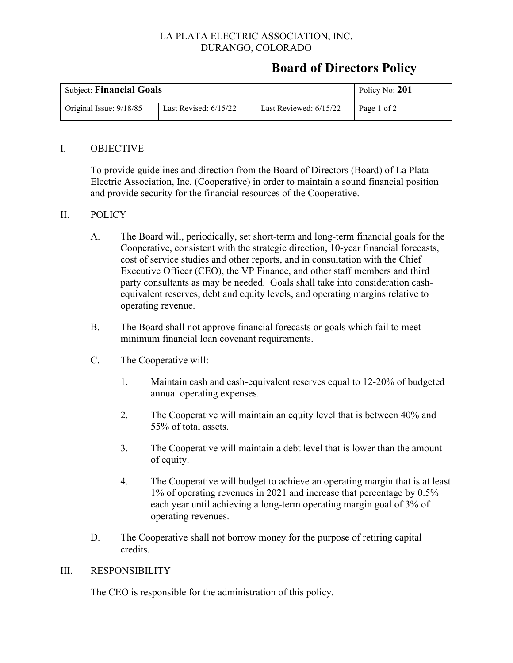### LA PLATA ELECTRIC ASSOCIATION, INC. DURANGO, COLORADO

# **Board of Directors Policy**

| <b>Subject: Financial Goals</b> | Policy No: 201          |                          |             |
|---------------------------------|-------------------------|--------------------------|-------------|
| Original Issue: 9/18/85         | Last Revised: $6/15/22$ | Last Reviewed: $6/15/22$ | Page 1 of 2 |

#### I. OBJECTIVE

To provide guidelines and direction from the Board of Directors (Board) of La Plata Electric Association, Inc. (Cooperative) in order to maintain a sound financial position and provide security for the financial resources of the Cooperative.

#### II. POLICY

- A. The Board will, periodically, set short-term and long-term financial goals for the Cooperative, consistent with the strategic direction, 10-year financial forecasts, cost of service studies and other reports, and in consultation with the Chief Executive Officer (CEO), the VP Finance, and other staff members and third party consultants as may be needed. Goals shall take into consideration cashequivalent reserves, debt and equity levels, and operating margins relative to operating revenue.
- B. The Board shall not approve financial forecasts or goals which fail to meet minimum financial loan covenant requirements.
- C. The Cooperative will:
	- 1. Maintain cash and cash-equivalent reserves equal to 12-20% of budgeted annual operating expenses.
	- 2. The Cooperative will maintain an equity level that is between 40% and 55% of total assets.
	- 3. The Cooperative will maintain a debt level that is lower than the amount of equity.
	- 4. The Cooperative will budget to achieve an operating margin that is at least 1% of operating revenues in 2021 and increase that percentage by 0.5% each year until achieving a long-term operating margin goal of 3% of operating revenues.
- D. The Cooperative shall not borrow money for the purpose of retiring capital credits.

#### III. RESPONSIBILITY

The CEO is responsible for the administration of this policy.